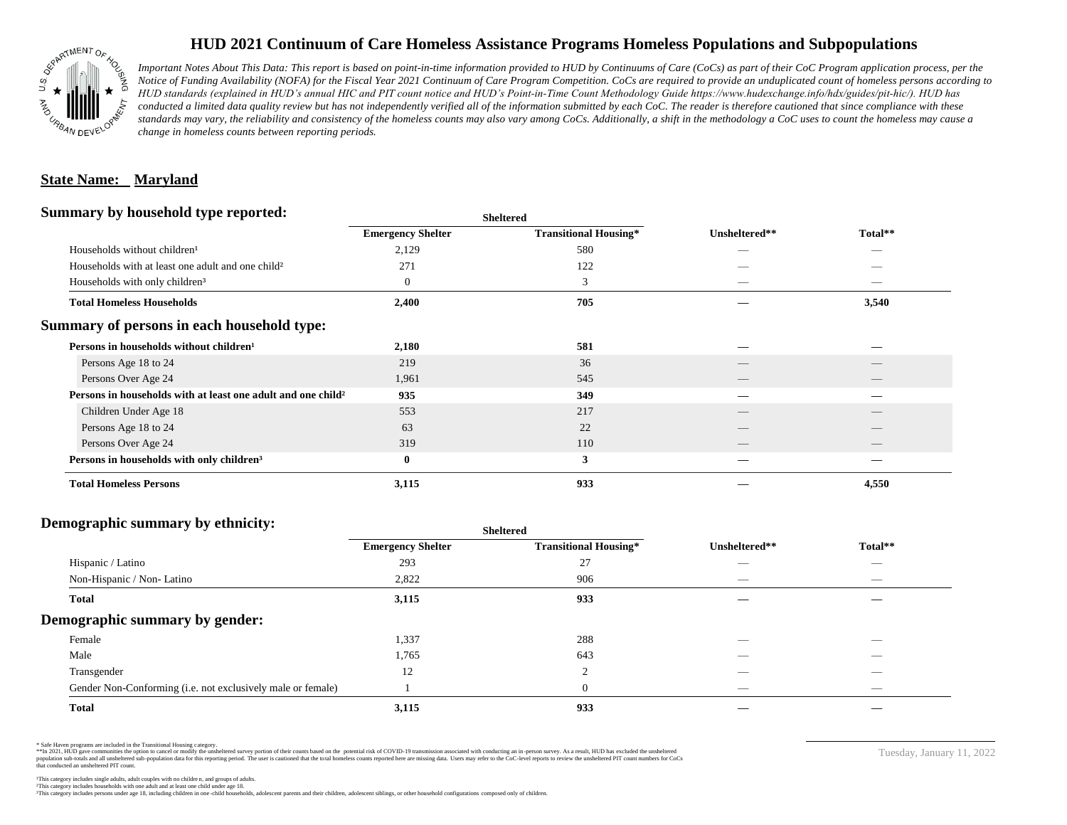

## **HUD 2021 Continuum of Care Homeless Assistance Programs Homeless Populations and Subpopulations**

*Important Notes About This Data: This report is based on point-in-time information provided to HUD by Continuums of Care (CoCs) as part of their CoC Program application process, per the Notice of Funding Availability (NOFA) for the Fiscal Year 2021 Continuum of Care Program Competition. CoCs are required to provide an unduplicated count of homeless persons according to HUD standards (explained in HUD's annual HIC and PIT count notice and HUD's Point-in-Time Count Methodology Guide https://www.hudexchange.info/hdx/guides/pit-hic/). HUD has*  conducted a limited data quality review but has not independently verified all of the information submitted by each CoC. The reader is therefore cautioned that since compliance with these standards may vary, the reliability and consistency of the homeless counts may also vary among CoCs. Additionally, a shift in the methodology a CoC uses to count the homeless may cause a *change in homeless counts between reporting periods.*

#### **State Name: Maryland**

#### **Summary by household type reported:**

| $\cdot$<br>. .                                                           | энскегси                 |                              |                          |                          |  |
|--------------------------------------------------------------------------|--------------------------|------------------------------|--------------------------|--------------------------|--|
|                                                                          | <b>Emergency Shelter</b> | <b>Transitional Housing*</b> | Unsheltered**            | Total**                  |  |
| Households without children <sup>1</sup>                                 | 2,129                    | 580                          | _                        | _                        |  |
| Households with at least one adult and one child <sup>2</sup>            | 271                      | 122                          |                          |                          |  |
| Households with only children <sup>3</sup>                               | $\overline{0}$           | 3                            |                          | $\sim$                   |  |
| <b>Total Homeless Households</b>                                         | 2,400                    | 705                          |                          | 3,540                    |  |
| Summary of persons in each household type:                               |                          |                              |                          |                          |  |
| Persons in households without children <sup>1</sup>                      | 2,180                    | 581                          |                          |                          |  |
| Persons Age 18 to 24                                                     | 219                      | 36                           |                          |                          |  |
| Persons Over Age 24                                                      | 1,961                    | 545                          |                          |                          |  |
| Persons in households with at least one adult and one child <sup>2</sup> | 935                      | 349                          |                          |                          |  |
| Children Under Age 18                                                    | 553                      | 217                          | $\overline{\phantom{a}}$ | $\overline{\phantom{a}}$ |  |
| Persons Age 18 to 24                                                     | 63                       | 22                           |                          |                          |  |
| Persons Over Age 24                                                      | 319                      | 110                          |                          |                          |  |
| Persons in households with only children <sup>3</sup>                    | $\bf{0}$                 | 3                            |                          |                          |  |
| <b>Total Homeless Persons</b>                                            | 3,115                    | 933                          |                          | 4,550                    |  |
|                                                                          |                          |                              |                          |                          |  |

**Sheltered**

## **Demographic summary by ethnicity:**

| ັ<br>. .<br>$\bullet$<br>. .<br>$\ddot{\phantom{1}}$        | Sneitered                |                              |                                 |                                |
|-------------------------------------------------------------|--------------------------|------------------------------|---------------------------------|--------------------------------|
|                                                             | <b>Emergency Shelter</b> | <b>Transitional Housing*</b> | Unsheltered**                   | Total**                        |
| Hispanic / Latino                                           | 293                      | 27                           | _                               | $\overbrace{\hspace{25mm}}^{}$ |
| Non-Hispanic / Non-Latino                                   | 2,822                    | 906                          | $\hspace{0.05cm}$               | $\overbrace{\hspace{25mm}}^{}$ |
| <b>Total</b>                                                | 3,115                    | 933                          |                                 |                                |
| Demographic summary by gender:                              |                          |                              |                                 |                                |
| Female                                                      | 1,337                    | 288                          | ___                             | $\overline{\phantom{a}}$       |
| Male                                                        | 1,765                    | 643                          | ___                             | $\overline{\phantom{a}}$       |
| Transgender                                                 | 12                       | $\Omega$<br>∠                | __                              | $\sim$                         |
| Gender Non-Conforming (i.e. not exclusively male or female) |                          | $\overline{0}$               | $\hspace{0.1mm}-\hspace{0.1mm}$ | $\overbrace{\hspace{25mm}}^{}$ |
| <b>Total</b>                                                | 3,115                    | 933                          |                                 |                                |

**Sheltered**

\* Safe Haven programs are included in the Transitional Housing category.

\*\*In 2021, HUD gave communities the option to cancel or modify the unsheltered survey portion of their counts based on the potential risk of COVID-19 transmission associated with conducting an in-person survey. As a result n political data for this reporting period. The user is cautioned that the total homeless counts reported here are missing data. Users may refer to the CoC-level reports to review the unshellered PIT count numbers for CoCs that conducted an unsheltered PIT count.

Tuesday, January 11, 2022